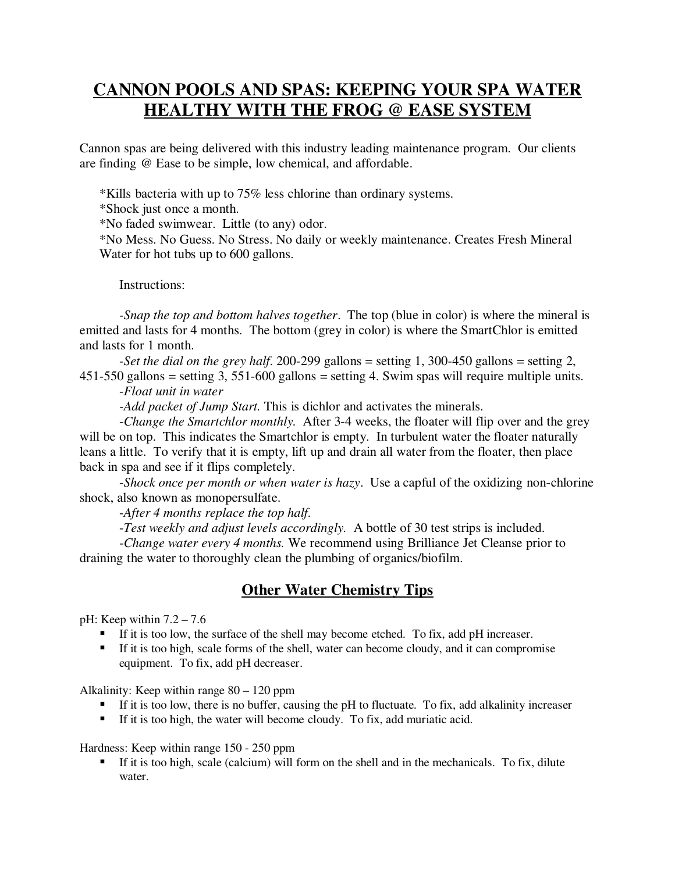## **CANNON POOLS AND SPAS: KEEPING YOUR SPA WATER HEALTHY WITH THE FROG @ EASE SYSTEM**

Cannon spas are being delivered with this industry leading maintenance program. Our clients are finding @ Ease to be simple, low chemical, and affordable.

\*Kills bacteria with up to 75% less chlorine than ordinary systems.

\*Shock just once a month.

\*No faded swimwear. Little (to any) odor.

\*No Mess. No Guess. No Stress. No daily or weekly maintenance. Creates Fresh Mineral Water for hot tubs up to 600 gallons.

Instructions:

*-Snap the top and bottom halves together*. The top (blue in color) is where the mineral is emitted and lasts for 4 months. The bottom (grey in color) is where the SmartChlor is emitted and lasts for 1 month.

-*Set the dial on the grey half*. 200-299 gallons = setting 1, 300-450 gallons = setting 2, 451-550 gallons = setting 3, 551-600 gallons = setting 4. Swim spas will require multiple units.

-*Float unit in water*

*-Add packet of Jump Start.* This is dichlor and activates the minerals.

-*Change the Smartchlor monthly.* After 3-4 weeks, the floater will flip over and the grey will be on top. This indicates the Smartchlor is empty. In turbulent water the floater naturally leans a little. To verify that it is empty, lift up and drain all water from the floater, then place back in spa and see if it flips completely.

-*Shock once per month or when water is hazy*. Use a capful of the oxidizing non-chlorine shock, also known as monopersulfate.

-*After 4 months replace the top half.*

-*Test weekly and adjust levels accordingly.* A bottle of 30 test strips is included.

-*Change water every 4 months.* We recommend using Brilliance Jet Cleanse prior to draining the water to thoroughly clean the plumbing of organics/biofilm.

## **Other Water Chemistry Tips**

pH: Keep within  $7.2 - 7.6$ 

- If it is too low, the surface of the shell may become etched. To fix, add pH increaser.
- If it is too high, scale forms of the shell, water can become cloudy, and it can compromise equipment. To fix, add pH decreaser.

Alkalinity: Keep within range 80 – 120 ppm

- If it is too low, there is no buffer, causing the pH to fluctuate. To fix, add alkalinity increaser
- If it is too high, the water will become cloudy. To fix, add muriatic acid.

Hardness: Keep within range 150 - 250 ppm

 If it is too high, scale (calcium) will form on the shell and in the mechanicals. To fix, dilute water.